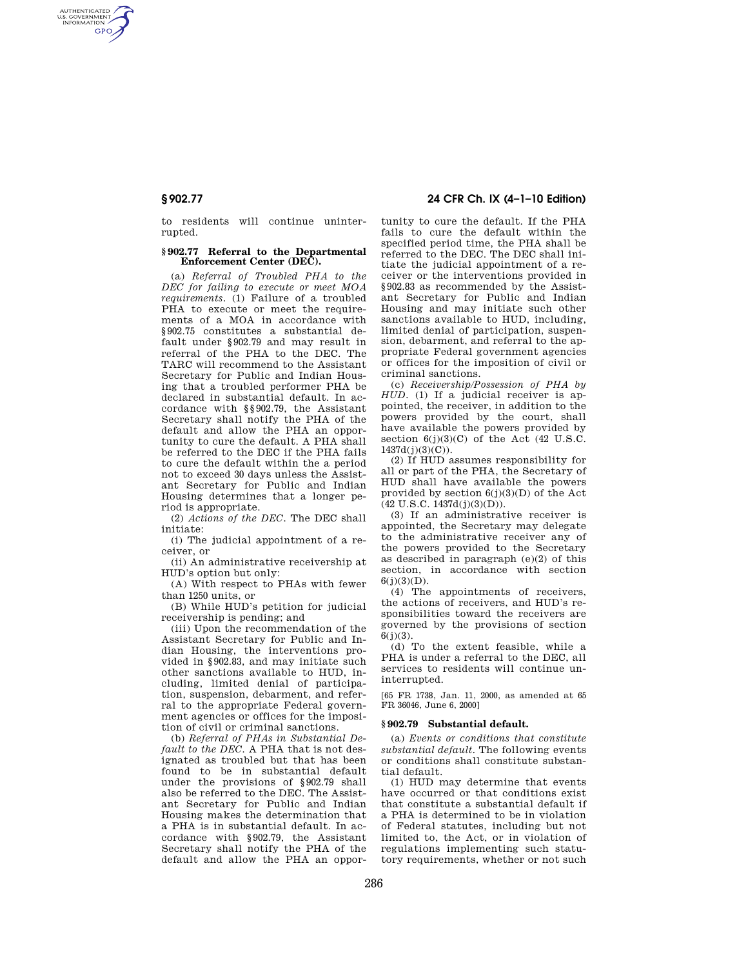AUTHENTICATED<br>U.S. GOVERNMENT<br>INFORMATION **GPO** 

> to residents will continue uninterrupted.

## **§ 902.77 Referral to the Departmental Enforcement Center (DEC).**

(a) *Referral of Troubled PHA to the DEC for failing to execute or meet MOA requirements.* (1) Failure of a troubled PHA to execute or meet the requirements of a MOA in accordance with §902.75 constitutes a substantial default under §902.79 and may result in referral of the PHA to the DEC. The TARC will recommend to the Assistant Secretary for Public and Indian Housing that a troubled performer PHA be declared in substantial default. In accordance with §§902.79, the Assistant Secretary shall notify the PHA of the default and allow the PHA an opportunity to cure the default. A PHA shall be referred to the DEC if the PHA fails to cure the default within the a period not to exceed 30 days unless the Assistant Secretary for Public and Indian Housing determines that a longer period is appropriate.

(2) *Actions of the DEC.* The DEC shall initiate:

(i) The judicial appointment of a receiver, or

(ii) An administrative receivership at HUD's option but only:

(A) With respect to PHAs with fewer than 1250 units, or

(B) While HUD's petition for judicial receivership is pending; and

(iii) Upon the recommendation of the Assistant Secretary for Public and Indian Housing, the interventions provided in §902.83, and may initiate such other sanctions available to HUD, including, limited denial of participation, suspension, debarment, and referral to the appropriate Federal government agencies or offices for the imposition of civil or criminal sanctions.

(b) *Referral of PHAs in Substantial Default to the DEC.* A PHA that is not designated as troubled but that has been found to be in substantial default under the provisions of §902.79 shall also be referred to the DEC. The Assistant Secretary for Public and Indian Housing makes the determination that a PHA is in substantial default. In accordance with §902.79, the Assistant Secretary shall notify the PHA of the default and allow the PHA an oppor-

# **§ 902.77 24 CFR Ch. IX (4–1–10 Edition)**

tunity to cure the default. If the PHA fails to cure the default within the specified period time, the PHA shall be referred to the DEC. The DEC shall initiate the judicial appointment of a receiver or the interventions provided in §902.83 as recommended by the Assistant Secretary for Public and Indian Housing and may initiate such other sanctions available to HUD, including, limited denial of participation, suspension, debarment, and referral to the appropriate Federal government agencies or offices for the imposition of civil or criminal sanctions.

(c) *Receivership/Possession of PHA by HUD.* (1) If a judicial receiver is appointed, the receiver, in addition to the powers provided by the court, shall have available the powers provided by section  $6(j)(3)(C)$  of the Act (42 U.S.C.  $1437d(j)(3)(C)$ ).

(2) If HUD assumes responsibility for all or part of the PHA, the Secretary of HUD shall have available the powers provided by section  $6(j)(3)(D)$  of the Act  $(42 \text{ U.S.C. } 1437d(j)(3)(D)).$ 

(3) If an administrative receiver is appointed, the Secretary may delegate to the administrative receiver any of the powers provided to the Secretary as described in paragraph (e)(2) of this section, in accordance with section  $6(j)(3)(D)$ .

(4) The appointments of receivers, the actions of receivers, and HUD's responsibilities toward the receivers are governed by the provisions of section  $6(j)(3)$ .

(d) To the extent feasible, while a PHA is under a referral to the DEC, all services to residents will continue uninterrupted.

[65 FR 1738, Jan. 11, 2000, as amended at 65 FR 36046, June 6, 2000]

#### **§ 902.79 Substantial default.**

(a) *Events or conditions that constitute substantial default.* The following events or conditions shall constitute substantial default.

(1) HUD may determine that events have occurred or that conditions exist that constitute a substantial default if a PHA is determined to be in violation of Federal statutes, including but not limited to, the Act, or in violation of regulations implementing such statutory requirements, whether or not such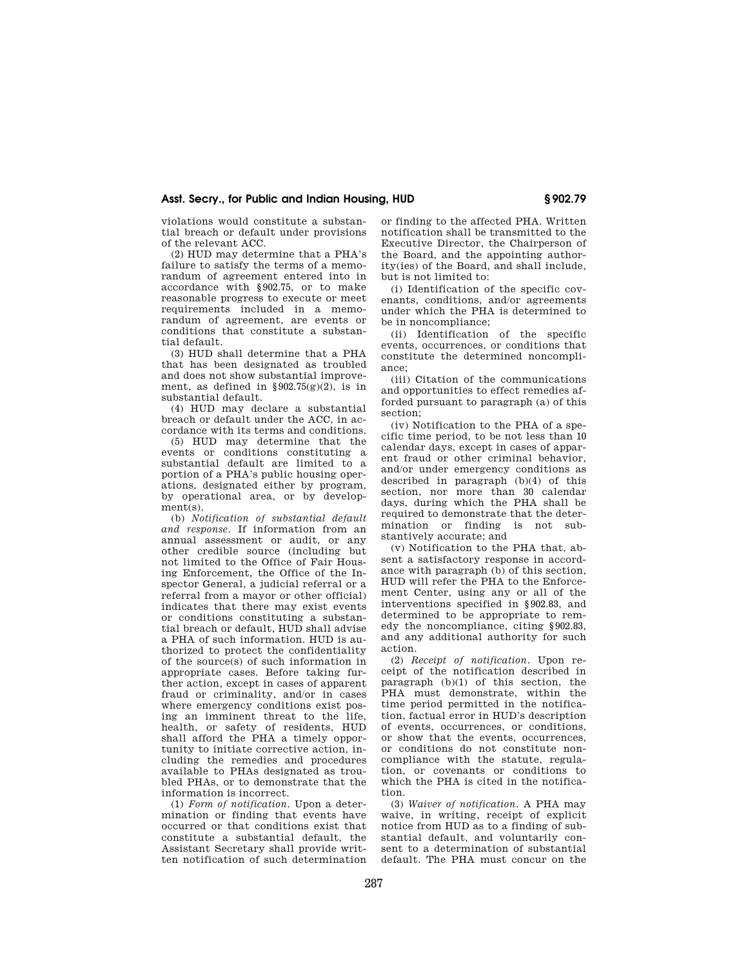# **Asst. Secry., for Public and Indian Housing, HUD § 902.79**

violations would constitute a substantial breach or default under provisions of the relevant ACC.

(2) HUD may determine that a PHA's failure to satisfy the terms of a memorandum of agreement entered into in accordance with §902.75, or to make reasonable progress to execute or meet requirements included in a memorandum of agreement, are events or conditions that constitute a substantial default.

(3) HUD shall determine that a PHA that has been designated as troubled and does not show substantial improvement, as defined in  $\S 902.75(g)(2)$ , is in substantial default.

(4) HUD may declare a substantial breach or default under the ACC, in accordance with its terms and conditions.

(5) HUD may determine that the events or conditions constituting a substantial default are limited to a portion of a PHA's public housing operations, designated either by program, by operational area, or by development(s).

(b) *Notification of substantial default and response.* If information from an annual assessment or audit, or any other credible source (including but not limited to the Office of Fair Housing Enforcement, the Office of the Inspector General, a judicial referral or a referral from a mayor or other official) indicates that there may exist events or conditions constituting a substantial breach or default, HUD shall advise a PHA of such information. HUD is authorized to protect the confidentiality of the source(s) of such information in appropriate cases. Before taking further action, except in cases of apparent fraud or criminality, and/or in cases where emergency conditions exist posing an imminent threat to the life, health, or safety of residents, HUD shall afford the PHA a timely opportunity to initiate corrective action, including the remedies and procedures available to PHAs designated as troubled PHAs, or to demonstrate that the information is incorrect.

(1) *Form of notification.* Upon a determination or finding that events have occurred or that conditions exist that constitute a substantial default, the Assistant Secretary shall provide written notification of such determination or finding to the affected PHA. Written notification shall be transmitted to the Executive Director, the Chairperson of the Board, and the appointing authority(ies) of the Board, and shall include, but is not limited to:

(i) Identification of the specific covenants, conditions, and/or agreements under which the PHA is determined to be in noncompliance;

(ii) Identification of the specific events, occurrences, or conditions that constitute the determined noncompliance;

(iii) Citation of the communications and opportunities to effect remedies afforded pursuant to paragraph (a) of this section;

(iv) Notification to the PHA of a specific time period, to be not less than 10 calendar days, except in cases of apparent fraud or other criminal behavior, and/or under emergency conditions as described in paragraph (b)(4) of this section, nor more than 30 calendar days, during which the PHA shall be required to demonstrate that the determination or finding is not substantively accurate; and

(v) Notification to the PHA that, absent a satisfactory response in accordance with paragraph (b) of this section, HUD will refer the PHA to the Enforcement Center, using any or all of the interventions specified in §902.83, and determined to be appropriate to remedy the noncompliance, citing §902.83, and any additional authority for such action.

(2) *Receipt of notification.* Upon receipt of the notification described in paragraph  $(b)(1)$  of this section, the PHA must demonstrate, within the time period permitted in the notification, factual error in HUD's description of events, occurrences, or conditions, or show that the events, occurrences, or conditions do not constitute noncompliance with the statute, regulation, or covenants or conditions to which the PHA is cited in the notification.

(3) *Waiver of notification.* A PHA may waive, in writing, receipt of explicit notice from HUD as to a finding of substantial default, and voluntarily consent to a determination of substantial default. The PHA must concur on the